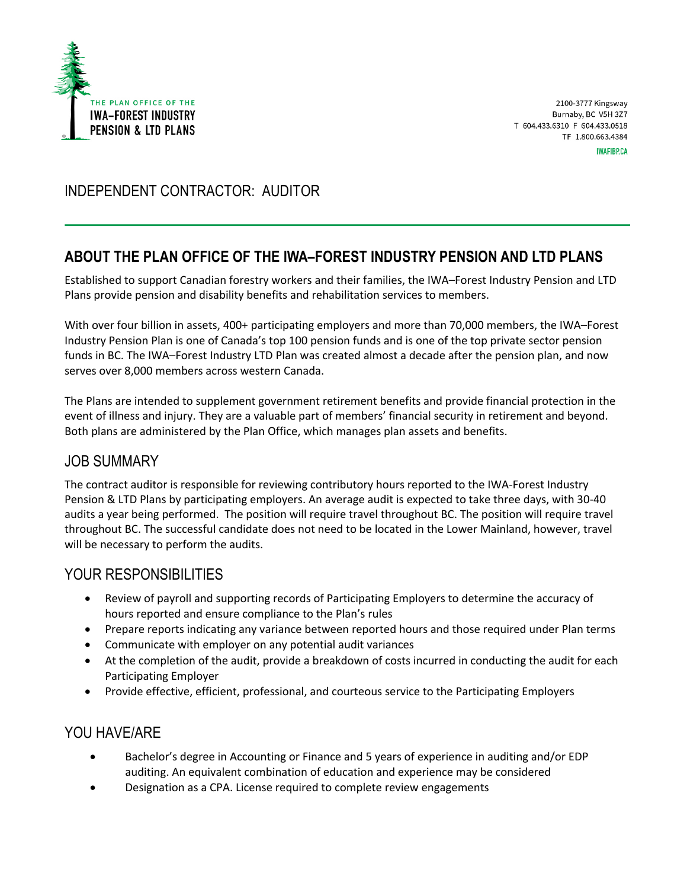

2100-3777 Kingsway Burnaby, BC V5H 3Z7 T 604.433.6310 F 604.433.0518 TF 1.800.663.4384 **IWAFIBP.CA** 

# INDEPENDENT CONTRACTOR: AUDITOR

## **ABOUT THE PLAN OFFICE OF THE IWA–FOREST INDUSTRY PENSION AND LTD PLANS**

Established to support Canadian forestry workers and their families, the IWA–Forest Industry Pension and LTD Plans provide pension and disability benefits and rehabilitation services to members.

With over four billion in assets, 400+ participating employers and more than 70,000 members, the IWA–Forest Industry Pension Plan is one of Canada's top 100 pension funds and is one of the top private sector pension funds in BC. The IWA–Forest Industry LTD Plan was created almost a decade after the pension plan, and now serves over 8,000 members across western Canada.

The Plans are intended to supplement government retirement benefits and provide financial protection in the event of illness and injury. They are a valuable part of members' financial security in retirement and beyond. Both plans are administered by the Plan Office, which manages plan assets and benefits.

### JOB SUMMARY

The contract auditor is responsible for reviewing contributory hours reported to the IWA-Forest Industry Pension & LTD Plans by participating employers. An average audit is expected to take three days, with 30-40 audits a year being performed. The position will require travel throughout BC. The position will require travel throughout BC. The successful candidate does not need to be located in the Lower Mainland, however, travel will be necessary to perform the audits.

### YOUR RESPONSIBILITIFS

- Review of payroll and supporting records of Participating Employers to determine the accuracy of hours reported and ensure compliance to the Plan's rules
- Prepare reports indicating any variance between reported hours and those required under Plan terms
- Communicate with employer on any potential audit variances
- At the completion of the audit, provide a breakdown of costs incurred in conducting the audit for each Participating Employer
- Provide effective, efficient, professional, and courteous service to the Participating Employers

### YOU HAVE/ARE

- Bachelor's degree in Accounting or Finance and 5 years of experience in auditing and/or EDP auditing. An equivalent combination of education and experience may be considered
- Designation as a CPA. License required to complete review engagements